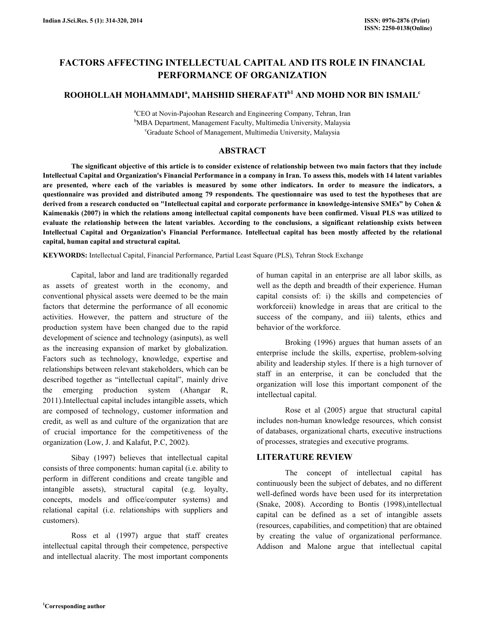# FACTORS AFFECTING INTELLECTUAL CAPITAL AND ITS ROLE IN FINANCIAL PERFORMANCE OF ORGANIZATION

# ROOHOLLAH MOHAMMADI $^{a}$ , MAHSHID SHERAFATI $^{\rm b1}$  AND MOHD NOR BIN ISMAIL $^{\rm c}$

<sup>a</sup>CEO at Novin-Pajoohan Research and Engineering Company, Tehran, Iran <sup>b</sup>MBA Department, Management Faculty, Multimedia University, Malaysia <sup>c</sup>Graduate School of Management, Multimedia University, Malaysia

## ABSTRACT

 The significant objective of this article is to consider existence of relationship between two main factors that they include Intellectual Capital and Organization's Financial Performance in a company in Iran. To assess this, models with 14 latent variables are presented, where each of the variables is measured by some other indicators. In order to measure the indicators, a questionnaire was provided and distributed among 79 respondents. The questionnaire was used to test the hypotheses that are derived from a research conducted on "Intellectual capital and corporate performance in knowledge-intensive SMEs" by Cohen & Kaimenakis (2007) in which the relations among intellectual capital components have been confirmed. Visual PLS was utilized to evaluate the relationship between the latent variables. According to the conclusions, a significant relationship exists between Intellectual Capital and Organization's Financial Performance. Intellectual capital has been mostly affected by the relational capital, human capital and structural capital.

KEYWORDS: Intellectual Capital, Financial Performance, Partial Least Square (PLS), Tehran Stock Exchange

 Capital, labor and land are traditionally regarded as assets of greatest worth in the economy, and conventional physical assets were deemed to be the main factors that determine the performance of all economic activities. However, the pattern and structure of the production system have been changed due to the rapid development of science and technology (asinputs), as well as the increasing expansion of market by globalization. Factors such as technology, knowledge, expertise and relationships between relevant stakeholders, which can be described together as "intellectual capital", mainly drive the emerging production system (Ahangar R, 2011).Intellectual capital includes intangible assets, which are composed of technology, customer information and credit, as well as and culture of the organization that are of crucial importance for the competitiveness of the organization (Low, J. and Kalafut, P.C, 2002).

 Sibay (1997) believes that intellectual capital consists of three components: human capital (i.e. ability to perform in different conditions and create tangible and intangible assets), structural capital (e.g. loyalty, concepts, models and office/computer systems) and relational capital (i.e. relationships with suppliers and customers).

 Ross et al (1997) argue that staff creates intellectual capital through their competence, perspective and intellectual alacrity. The most important components of human capital in an enterprise are all labor skills, as well as the depth and breadth of their experience. Human capital consists of: i) the skills and competencies of workforceii) knowledge in areas that are critical to the success of the company, and iii) talents, ethics and behavior of the workforce.

 Broking (1996) argues that human assets of an enterprise include the skills, expertise, problem-solving ability and leadership styles. If there is a high turnover of staff in an enterprise, it can be concluded that the organization will lose this important component of the intellectual capital.

 Rose et al (2005) argue that structural capital includes non-human knowledge resources, which consist of databases, organizational charts, executive instructions of processes, strategies and executive programs.

# LITERATURE REVIEW

 The concept of intellectual capital has continuously been the subject of debates, and no different well-defined words have been used for its interpretation (Snake, 2008). According to Bontis (1998),intellectual capital can be defined as a set of intangible assets (resources, capabilities, and competition) that are obtained by creating the value of organizational performance. Addison and Malone argue that intellectual capital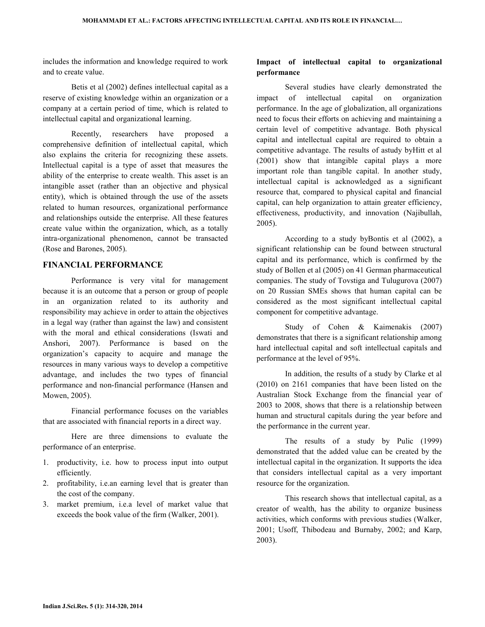includes the information and knowledge required to work and to create value.

 Betis et al (2002) defines intellectual capital as a reserve of existing knowledge within an organization or a company at a certain period of time, which is related to intellectual capital and organizational learning.

 Recently, researchers have proposed a comprehensive definition of intellectual capital, which also explains the criteria for recognizing these assets. Intellectual capital is a type of asset that measures the ability of the enterprise to create wealth. This asset is an intangible asset (rather than an objective and physical entity), which is obtained through the use of the assets related to human resources, organizational performance and relationships outside the enterprise. All these features create value within the organization, which, as a totally intra-organizational phenomenon, cannot be transacted (Rose and Barones, 2005).

#### FINANCIAL PERFORMANCE

 Performance is very vital for management because it is an outcome that a person or group of people in an organization related to its authority and responsibility may achieve in order to attain the objectives in a legal way (rather than against the law) and consistent with the moral and ethical considerations (Iswati and Anshori, 2007). Performance is based on the organization's capacity to acquire and manage the resources in many various ways to develop a competitive advantage, and includes the two types of financial performance and non-financial performance (Hansen and Mowen, 2005).

 Financial performance focuses on the variables that are associated with financial reports in a direct way.

 Here are three dimensions to evaluate the performance of an enterprise.

- 1. productivity, i.e. how to process input into output efficiently.
- 2. profitability, i.e.an earning level that is greater than the cost of the company.
- 3. market premium, i.e.a level of market value that exceeds the book value of the firm (Walker, 2001).

# Impact of intellectual capital to organizational performance

 Several studies have clearly demonstrated the impact of intellectual capital on organization performance. In the age of globalization, all organizations need to focus their efforts on achieving and maintaining a certain level of competitive advantage. Both physical capital and intellectual capital are required to obtain a competitive advantage. The results of astudy byHitt et al (2001) show that intangible capital plays a more important role than tangible capital. In another study, intellectual capital is acknowledged as a significant resource that, compared to physical capital and financial capital, can help organization to attain greater efficiency, effectiveness, productivity, and innovation (Najibullah, 2005).

 According to a study byBontis et al (2002), a significant relationship can be found between structural capital and its performance, which is confirmed by the study of Bollen et al (2005) on 41 German pharmaceutical companies. The study of Tovstiga and Tulugurova (2007) on 20 Russian SMEs shows that human capital can be considered as the most significant intellectual capital component for competitive advantage.

 Study of Cohen & Kaimenakis (2007) demonstrates that there is a significant relationship among hard intellectual capital and soft intellectual capitals and performance at the level of 95%.

 In addition, the results of a study by Clarke et al (2010) on 2161 companies that have been listed on the Australian Stock Exchange from the financial year of 2003 to 2008, shows that there is a relationship between human and structural capitals during the year before and the performance in the current year.

 The results of a study by Pulic (1999) demonstrated that the added value can be created by the intellectual capital in the organization. It supports the idea that considers intellectual capital as a very important resource for the organization.

 This research shows that intellectual capital, as a creator of wealth, has the ability to organize business activities, which conforms with previous studies (Walker, 2001; Usoff, Thibodeau and Burnaby, 2002; and Karp, 2003).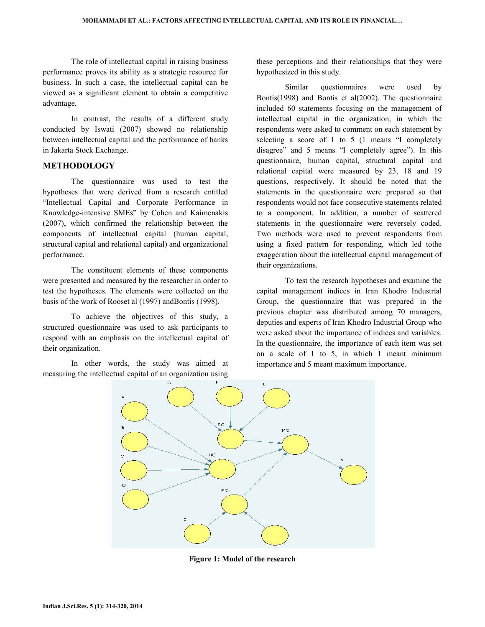The role of intellectual capital in raising business performance proves its ability as a strategic resource for business. In such a case, the intellectual capital can be viewed as a significant element to obtain a competitive advantage.

 In contrast, the results of a different study conducted by Iswati (2007) showed no relationship between intellectual capital and the performance of banks in Jakarta Stock Exchange.

## **METHODOLOGY**

 The questionnaire was used to test the hypotheses that were derived from a research entitled "Intellectual Capital and Corporate Performance in Knowledge-intensive SMEs" by Cohen and Kaimenakis (2007), which confirmed the relationship between the components of intellectual capital (human capital, structural capital and relational capital) and organizational performance.

 The constituent elements of these components were presented and measured by the researcher in order to test the hypotheses. The elements were collected on the basis of the work of Rooset al (1997) andBontis (1998).

 To achieve the objectives of this study, a structured questionnaire was used to ask participants to respond with an emphasis on the intellectual capital of their organization.

 In other words, the study was aimed at measuring the intellectual capital of an organization using

these perceptions and their relationships that they were hypothesized in this study.

 Similar questionnaires were used by Bontis(1998) and Bontis et al(2002). The questionnaire included 60 statements focusing on the management of intellectual capital in the organization, in which the respondents were asked to comment on each statement by selecting a score of 1 to 5 (1 means "I completely disagree" and 5 means "I completely agree"). In this questionnaire, human capital, structural capital and relational capital were measured by 23, 18 and 19 questions, respectively. It should be noted that the statements in the questionnaire were prepared so that respondents would not face consecutive statements related to a component. In addition, a number of scattered statements in the questionnaire were reversely coded. Two methods were used to prevent respondents from using a fixed pattern for responding, which led tothe exaggeration about the intellectual capital management of their organizations.

 To test the research hypotheses and examine the capital management indices in Iran Khodro Industrial Group, the questionnaire that was prepared in the previous chapter was distributed among 70 managers, deputies and experts of Iran Khodro Industrial Group who were asked about the importance of indices and variables. In the questionnaire, the importance of each item was set on a scale of 1 to 5, in which 1 meant minimum importance and 5 meant maximum importance.



Figure 1: Model of the research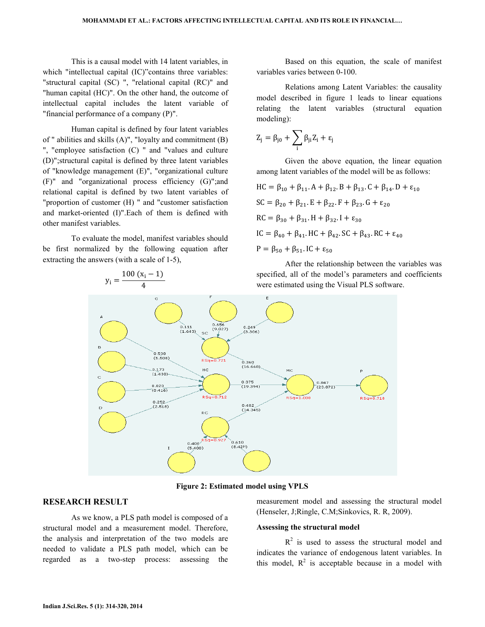This is a causal model with 14 latent variables, in which "intellectual capital (IC)" contains three variables: "structural capital (SC) ", "relational capital (RC)" and "human capital (HC)". On the other hand, the outcome of intellectual capital includes the latent variable of "financial performance of a company (P)".

 Human capital is defined by four latent variables of " abilities and skills (A)", "loyalty and commitment (B) ", "employee satisfaction (C) " and "values and culture (D)";structural capital is defined by three latent variables of "knowledge management (E)", "organizational culture (F)" and "organizational process efficiency (G)";and relational capital is defined by two latent variables of "proportion of customer (H) " and "customer satisfaction and market-oriented (I)".Each of them is defined with other manifest variables.

 To evaluate the model, manifest variables should be first normalized by the following equation after extracting the answers (with a scale of 1-5),

 $y_i = \frac{100 (x_i - 1)}{4}$ 

 Based on this equation, the scale of manifest variables varies between 0-100.

 Relations among Latent Variables: the causality model described in figure 1 leads to linear equations relating the latent variables (structural equation modeling):

$$
Z_j = \beta_{j0} + \sum_i \beta_{ji} Z_i + \epsilon_j
$$

 Given the above equation, the linear equation among latent variables of the model will be as follows:

$$
HC = \beta_{10} + \beta_{11} \cdot A + \beta_{12} \cdot B + \beta_{13} \cdot C + \beta_{14} \cdot D + \epsilon_{10}
$$
  
\n
$$
SC = \beta_{20} + \beta_{21} \cdot E + \beta_{22} \cdot F + \beta_{23} \cdot G + \epsilon_{20}
$$
  
\n
$$
RC = \beta_{30} + \beta_{31} \cdot H + \beta_{32} \cdot I + \epsilon_{30}
$$
  
\n
$$
IC = \beta_{40} + \beta_{41} \cdot HC + \beta_{42} \cdot SC + \beta_{43} \cdot RC + \epsilon_{40}
$$
  
\n
$$
P = \beta_{50} + \beta_{51} \cdot IC + \epsilon_{50}
$$

 After the relationship between the variables was specified, all of the model's parameters and coefficients were estimated using the Visual PLS software.



Figure 2: Estimated model using VPLS

### RESEARCH RESULT

 As we know, a PLS path model is composed of a structural model and a measurement model. Therefore, the analysis and interpretation of the two models are needed to validate a PLS path model, which can be regarded as a two-step process: assessing the

measurement model and assessing the structural model (Henseler, J;Ringle, C.M;Sinkovics, R. R, 2009).

#### Assessing the structural model

 $R<sup>2</sup>$  is used to assess the structural model and indicates the variance of endogenous latent variables. In this model,  $R^2$  is acceptable because in a model with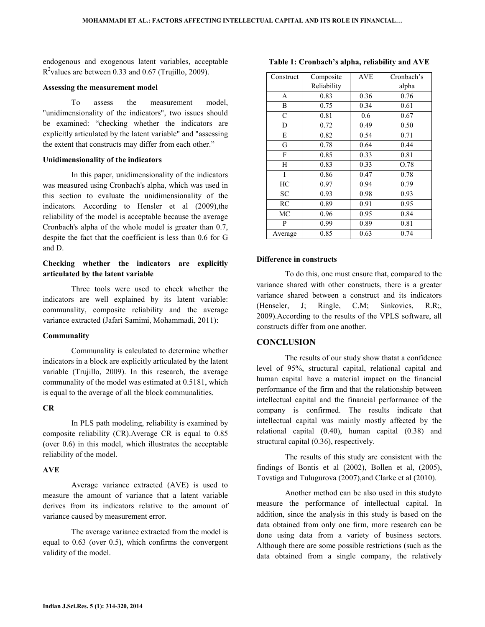endogenous and exogenous latent variables, acceptable  $R^2$  values are between 0.33 and 0.67 (Trujillo, 2009).

#### Assessing the measurement model

 To assess the measurement model, "unidimensionality of the indicators", two issues should be examined: "checking whether the indicators are explicitly articulated by the latent variable" and "assessing the extent that constructs may differ from each other."

#### Unidimensionality of the indicators

 In this paper, unidimensionality of the indicators was measured using Cronbach's alpha, which was used in this section to evaluate the unidimensionality of the indicators. According to Hensler et al (2009), the reliability of the model is acceptable because the average Cronbach's alpha of the whole model is greater than 0.7, despite the fact that the coefficient is less than 0.6 for G and D.

# Checking whether the indicators are explicitly articulated by the latent variable

 Three tools were used to check whether the indicators are well explained by its latent variable: communality, composite reliability and the average variance extracted (Jafari Samimi, Mohammadi, 2011):

#### **Communality**

 Communality is calculated to determine whether indicators in a block are explicitly articulated by the latent variable (Trujillo, 2009). In this research, the average communality of the model was estimated at 0.5181, which is equal to the average of all the block communalities.

#### CR

 In PLS path modeling, reliability is examined by composite reliability (CR).Average CR is equal to 0.85 (over 0.6) in this model, which illustrates the acceptable reliability of the model.

#### AVE

 Average variance extracted (AVE) is used to measure the amount of variance that a latent variable derives from its indicators relative to the amount of variance caused by measurement error.

 The average variance extracted from the model is equal to 0.63 (over 0.5), which confirms the convergent validity of the model.

| Construct     | Composite   | <b>AVE</b> | Cronbach's |
|---------------|-------------|------------|------------|
|               |             |            |            |
|               | Reliability |            | alpha      |
| A             | 0.83        | 0.36       | 0.76       |
| B             | 0.75        | 0.34       | 0.61       |
| $\mathcal{C}$ | 0.81        | 0.6        | 0.67       |
| D             | 0.72        | 0.49       | 0.50       |
| E             | 0.82        | 0.54       | 0.71       |
| G             | 0.78        | 0.64       | 0.44       |
| F             | 0.85        | 0.33       | 0.81       |
| H             | 0.83        | 0.33       | O.78       |
| I             | 0.86        | 0.47       | 0.78       |
| HC            | 0.97        | 0.94       | 0.79       |
| SC            | 0.93        | 0.98       | 0.93       |
| RC            | 0.89        | 0.91       | 0.95       |
| MC            | 0.96        | 0.95       | 0.84       |
| P             | 0.99        | 0.89       | 0.81       |
| Average       | 0.85        | 0.63       | 0.74       |

Table 1: Cronbach's alpha, reliability and AVE

#### Difference in constructs

 To do this, one must ensure that, compared to the variance shared with other constructs, there is a greater variance shared between a construct and its indicators (Henseler, J; Ringle, C.M; Sinkovics, R.R;, 2009).According to the results of the VPLS software, all constructs differ from one another.

### **CONCLUSION**

 The results of our study show thatat a confidence level of 95%, structural capital, relational capital and human capital have a material impact on the financial performance of the firm and that the relationship between intellectual capital and the financial performance of the company is confirmed. The results indicate that intellectual capital was mainly mostly affected by the relational capital (0.40), human capital (0.38) and structural capital (0.36), respectively.

 The results of this study are consistent with the findings of Bontis et al (2002), Bollen et al, (2005), Tovstiga and Tulugurova (2007),and Clarke et al (2010).

 Another method can be also used in this studyto measure the performance of intellectual capital. In addition, since the analysis in this study is based on the data obtained from only one firm, more research can be done using data from a variety of business sectors. Although there are some possible restrictions (such as the data obtained from a single company, the relatively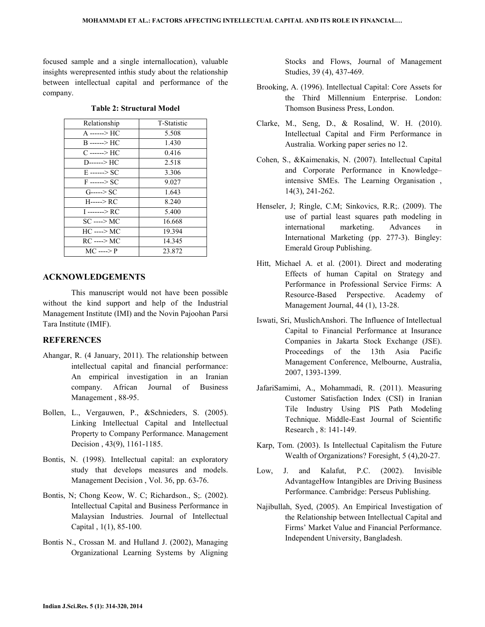focused sample and a single internallocation), valuable insights werepresented inthis study about the relationship between intellectual capital and performance of the company.

| Relationship   | T-Statistic |  |
|----------------|-------------|--|
| A ------> HC   | 5.508       |  |
| B -------> HC  | 1.430       |  |
| C ------> HC   | 0.416       |  |
| D------> HC    | 2.518       |  |
| E ------> SC   | 3.306       |  |
| F ------> SC   | 9.027       |  |
| G-----> SC     | 1.643       |  |
| H-----> RC     | 8.240       |  |
| I -------> RC  | 5.400       |  |
| SC ----> MC    | 16.668      |  |
| HC ----> MC    | 19.394      |  |
| RC ----> MC    | 14 345      |  |
| $MC$ ----> $P$ | 23.872      |  |

### ACKNOWLEDGEMENTS

 This manuscript would not have been possible without the kind support and help of the Industrial Management Institute (IMI) and the Novin Pajoohan Parsi Tara Institute (IMIF).

# **REFERENCES**

- Ahangar, R. (4 January, 2011). The relationship between intellectual capital and financial performance: An empirical investigation in an Iranian company. African Journal of Business Management , 88-95.
- Bollen, L., Vergauwen, P., &Schnieders, S. (2005). Linking Intellectual Capital and Intellectual Property to Company Performance. Management Decision , 43(9), 1161-1185.
- Bontis, N. (1998). Intellectual capital: an exploratory study that develops measures and models. Management Decision , Vol. 36, pp. 63-76.
- Bontis, N; Chong Keow, W. C; Richardson., S;. (2002). Intellectual Capital and Business Performance in Malaysian Industries. Journal of Intellectual Capital , 1(1), 85-100.
- Bontis N., Crossan M. and Hulland J. (2002), Managing Organizational Learning Systems by Aligning

Stocks and Flows, Journal of Management Studies, 39 (4), 437-469.

- Brooking, A. (1996). Intellectual Capital: Core Assets for the Third Millennium Enterprise. London: Thomson Business Press, London.
- Clarke, M., Seng, D., & Rosalind, W. H. (2010). Intellectual Capital and Firm Performance in Australia. Working paper series no 12.
- Cohen, S., &Kaimenakis, N. (2007). Intellectual Capital and Corporate Performance in Knowledge– intensive SMEs. The Learning Organisation , 14(3), 241-262.
- Henseler, J; Ringle, C.M; Sinkovics, R.R;. (2009). The use of partial least squares path modeling in international marketing. Advances in International Marketing (pp. 277-3). Bingley: Emerald Group Publishing.
- Hitt, Michael A. et al. (2001). Direct and moderating Effects of human Capital on Strategy and Performance in Professional Service Firms: A Resource-Based Perspective. Academy of Management Journal, 44 (1), 13-28.
- Iswati, Sri, MuslichAnshori. The Influence of Intellectual Capital to Financial Performance at Insurance Companies in Jakarta Stock Exchange (JSE). Proceedings of the 13th Asia Pacific Management Conference, Melbourne, Australia, 2007, 1393-1399.
- JafariSamimi, A., Mohammadi, R. (2011). Measuring Customer Satisfaction Index (CSI) in Iranian Tile Industry Using PlS Path Modeling Technique. Middle-East Journal of Scientific Research , 8: 141-149.
- Karp, Tom. (2003). Is Intellectual Capitalism the Future Wealth of Organizations? Foresight, 5 (4),20-27.
- Low, J. and Kalafut, P.C. (2002). Invisible AdvantageHow Intangibles are Driving Business Performance. Cambridge: Perseus Publishing.
- Najibullah, Syed, (2005). An Empirical Investigation of the Relationship between Intellectual Capital and Firms' Market Value and Financial Performance. Independent University, Bangladesh.